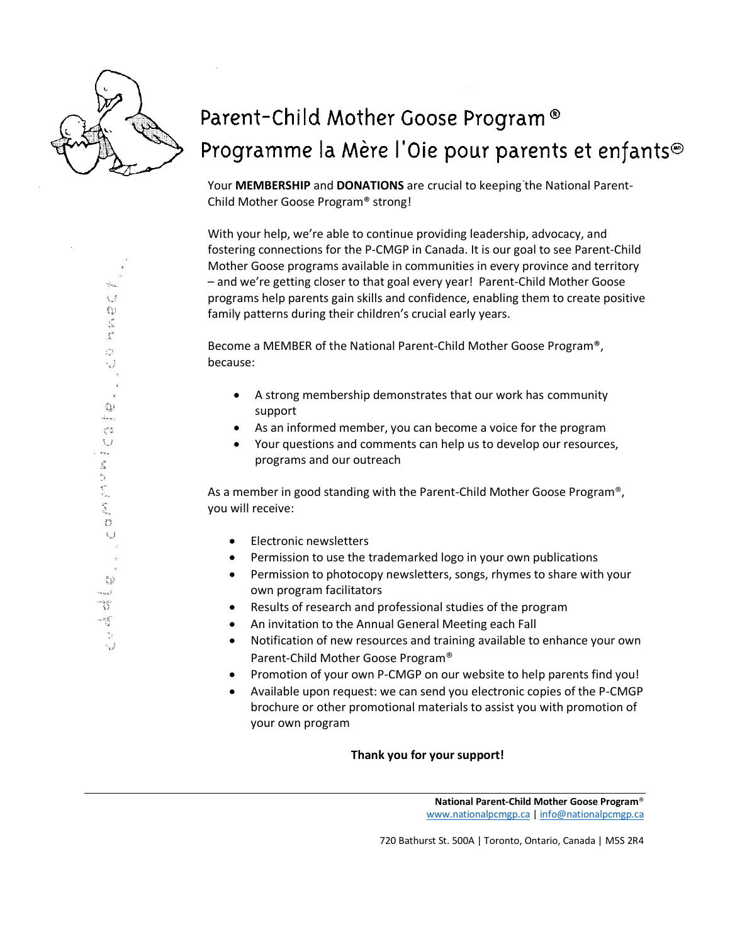

## Parent-Child Mother Goose Program® Programme la Mère l'Oie pour parents et enfants<sup>®</sup>

Your **MEMBERSHIP** and **DONATIONS** are crucial to keeping the National Parent-Child Mother Goose Program® strong!

With your help, we're able to continue providing leadership, advocacy, and fostering connections for the P-CMGP in Canada. It is our goal to see Parent-Child Mother Goose programs available in communities in every province and territory – and we're getting closer to that goal every year! Parent-Child Mother Goose programs help parents gain skills and confidence, enabling them to create positive family patterns during their children's crucial early years.

Become a MEMBER of the National Parent-Child Mother Goose Program®, because:

- A strong membership demonstrates that our work has community support
- As an informed member, you can become a voice for the program
- Your questions and comments can help us to develop our resources, programs and our outreach

As a member in good standing with the Parent-Child Mother Goose Program®, you will receive:

- Electronic newsletters
- Permission to use the trademarked logo in your own publications
- Permission to photocopy newsletters, songs, rhymes to share with your own program facilitators
- Results of research and professional studies of the program
- An invitation to the Annual General Meeting each Fall
- Notification of new resources and training available to enhance your own Parent-Child Mother Goose Program®
- Promotion of your own P-CMGP on our website to help parents find you!
- Available upon request: we can send you electronic copies of the P-CMGP brochure or other promotional materials to assist you with promotion of your own program

## **Thank you for your support!**

**National Parent-Child Mother Goose Program**® [www.nationalpcmgp.ca](http://www.nationalpcmgp.ca/) [| info@nationalpcmgp.ca](mailto:info@nationalpcmgp.ca)

720 Bathurst St. 500A | Toronto, Ontario, Canada | M5S 2R4

V.  $\langle \rangle$  $\frac{1}{2} \sum_{i=1}^{2}$  $\frac{e^{\frac{1}{2}}}{2}$ Č, ٤Ĵ  $\mathbb{C}$ i<br>Ame  $\tilde{\xi}^{\rm XX}_{\rm AB}$  $\tilde{\mathcal{R}}_{\rm eff}$  $\mathbf{c}_{m,n}$ ť.  $\begin{array}{c} \mathcal{L}_1 \\ \mathcal{L}_2 \\ \mathcal{L}_3 \end{array}$ Ş., Ő ŧĴ 42  $\tilde{\epsilon}_{\rm atm}$  m 弩弩  $-\frac{1}{2}$  $\frac{w_2}{\epsilon^2}$